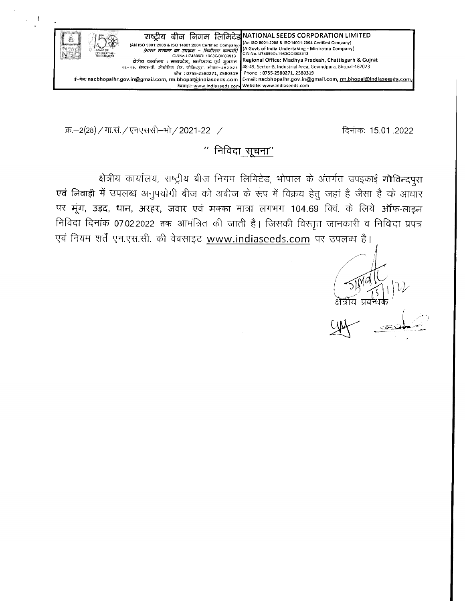

क्र.-2(28) / मा.सं. / एनएससी-भो / 2021-22 /

 $\left\langle \right\rangle$ 

दिनांकः 15.01.2022

# " निविदा सूचना"

क्षेत्रीय कार्यालय, राष्ट्रीय बीज निगम लिमिटेड, भोपाल के अंतर्गत उपइकाई गोविन्दपुरा एवं निवाड़ी में उपलब्ध अनुपयोगी बीज को अबीज के रूप में विक्रय हेतु जहां है जैसा है के आधार पर मूंग, उड़द, धान, अरहर, जवार एवं मक्का मात्रा लगभग 104.69 क्विं. के लिये ऑफ-लाइन निविदा दिनांक 07.02.2022 तक आमंत्रित की जाती है। जिसकी विस्तृत जानकारी व निविदा प्रपत्र एवं नियम शर्तें एन.एस.सी. की वेबसाइट www.indiaseeds.com पर उपलब्ध है।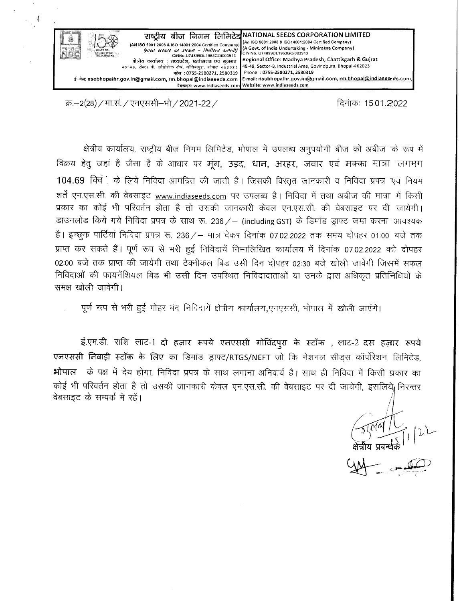

क्र.–2(28) / मा.सं. / एनएससी–भो / 2021-22 /

 $\overline{\mathcal{L}}$ 

दिनांकः 15.01.2022

क्षेत्रीय कार्यालय, राष्ट्रीय बीज निगम लिमिटेड, भोपाल में उपलब्ध अनुपयोगी बीज को अबीज के रूप में विक्रय हेतु जहां है जैसा है के आधार पर मूंग, उड़द, धान, अरहर, जवार एवं मक्का मात्रा लगभग 104.69 क्विं के लिये निविदा आमंत्रित की जाती है। जिसकी विस्तृत जानकारी व निविदा प्रपत्र एवं नियम शर्तें एन.एस.सी. की वेबसाइट www.indiaseeds.com पर उपलब्ध है। निविदा में तथा अबीज की मात्रा में किसी प्रकार का कोई भी परिवर्तन होता है तो उसकी जानकारी केवल एन.एस.सी. की वेबसाइट पर दी जायेगी। डाउनलोड किये गये निविदा प्रपत्र के साथ रू. 236 / - (including GST) के डिमांड ड्राफ्ट जमा करना आवश्यक है। इच्छुक पार्टियां निविदा प्रपत्र रू. 236 / - मात्र देकर दिनांक 07.02.2022 तक समय दोपहर 01:00 बजे तक प्राप्त कर सकते हैं। पूर्ण रूप से भरी हुई निविदायें निम्नलिखित कार्यालय में दिनांक 07.02.2022 को दोपहर 02:00 बजे तक प्राप्त की जायेगी तथा टेक्नीकल बिड उसी दिन दोपहर 02:30 बजे खोली जावेगी जिस्नमें सफल निविदाओं की फायनेंशियल बिड भी उसी दिन उपरिथत निविदादाताओं या उनके द्वारा अधिकृत प्रतिनिधियों के समक्ष खोली जावेगी।

पूर्ण रूप से भरी हुई मोहर बंद निविदायें क्षेत्रीय कार्यालय,एनएससी, भोपाल में खोली जाएंगे।

ई.एम.डी. राशि लाट-1 दो हज़ार रूपये एनएससी गोविंदपुरा के स्टॉक , लाट-2 दस हज़ार रूपये एनएससी निवाड़ी स्टॉक के लिए का डिमांड ड्राफ्ट/RTGS/NEFT जो कि नेशनल सीड्स कॉर्पोरेशन लिमिटेड, भोपाल के पक्ष में देय होगा, निविदा प्रपत्र के साथ लगाना अनिवार्य है। साथ ही निविदा में किसी प्रकार का कोई भी परिवर्तन होता है तो उसकी जानकारी केवल एन.एस.सी. की वेबसाइट पर दी जायेगी, इसलिये, निरन्तर वेबसाइट के सम्पर्क मे रहें।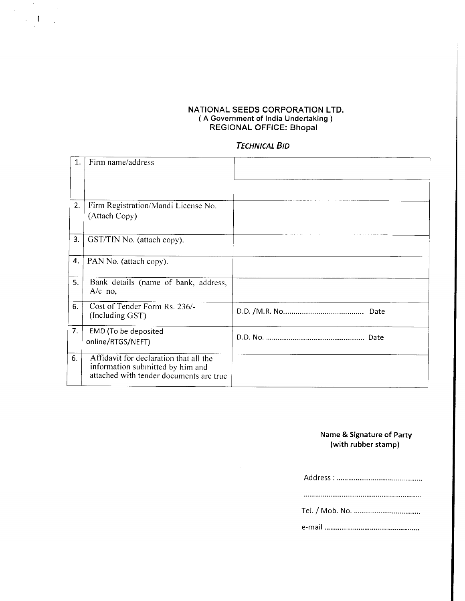#### NATIONAL SEEDS CORPORATION LTD. ( A Government of India Undertaking ) REGIONAL OFFICE: Bhopal

 $\mathcal{F}^{\mathcal{G}}$  $\mathcal{A}$  $\frac{1}{2}$ 

## **TECHNICAL BID**

| 1. | Firm name/address                                                                                                     |      |
|----|-----------------------------------------------------------------------------------------------------------------------|------|
|    |                                                                                                                       |      |
| 2. | Firm Registration/Mandi License No.<br>(Attach Copy)                                                                  |      |
| 3. | GST/TIN No. (attach copy).                                                                                            |      |
| 4. | PAN No. (attach copy).                                                                                                |      |
| 5. | Bank details (name of bank, address,<br>$A/c$ no,                                                                     |      |
| 6. | Cost of Tender Form Rs. 236/-<br>(Including GST)                                                                      |      |
| 7. | EMD (To be deposited<br>online/RTGS/NEFT)                                                                             | Date |
| 6. | Affidavit for declaration that all the<br>information submitted by him and<br>attached with tender documents are true |      |

### Name & Signature of Party (with rubber stamp)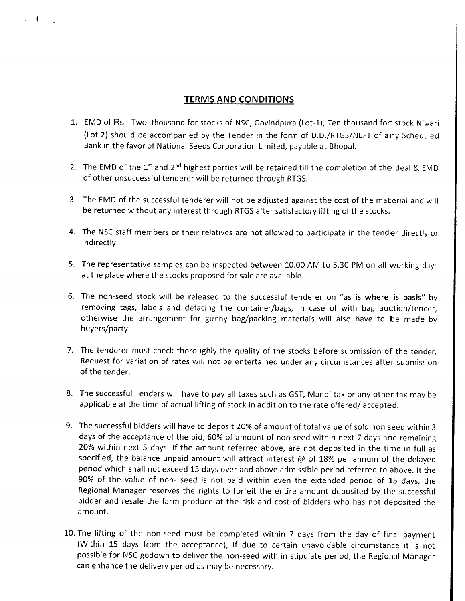# TERMS AND CONDITIONS

- EMD of Rs. Two thousand for stocks of NSC, Govindpura (Lot-1), Ten thousand for stock Niwari (Lot-2) should be accompanied by the Tender in the form of D.D./RTGS/NEFT of any Scheduled Bank in the favor of National Seeds Corporation Limited, payable at Bhopal.
- 2. The EMD of the 1<sup>st</sup> and 2<sup>nd</sup> highest parties will be retained till the completion of the deal & EMD of other unsuccessful tenderer will be returned through RTGS.
- 3. The EMD of the successful tenderer will not be adjusted against the cost of the material and will be returned without any interest through RTGS after satisfactory lifting of the stocks.
- 4. The NSC staff members or their relatives are not allowed to participate in the tender directly or indirectly.
- 5. The representative samples can be inspccted between 10.00 AM to 5.30 PM on all working days at the place where the stocks proposed for sale are available.
- 6. The non-seed stock will be released to the successful tenderer on "as is where is basis" by removing tags, labels and defacing the container/bags, in case of with bag auction/tender, otherwise the arrangement for gunny bag/packing materials will also have to be made by buyers/party.
- 7. The tenderer must check thoroughly the quality of the stocks before submission of the tender. Request for variation of rates will not be entertained under any circumstances after submission of the tender.
- The successful Tenders will have to pay all taxes such as GST, Mandi tax or any other tax may be applicable at the time of actual lifting of stock in addition to the rate offered/ accepted.
- The successful bidders will have to deposit 20% of amount of total value of sold non seed within <sup>3</sup> 9.days of the acceptance of the bid, 60% of amount of non-seed within next 7 days and remaining 20% within next 5 days. lf the amount referred above, are not deposited in the time in full as specified, the balance unpaid amount will attract interest  $@$  of 18% per annum of the delayed period which shall not exceed 15 days over and above admissible period referred to above. lt the 90% of the value of non- seed is not paid within even the extended period of 15 days, the Regional Manager reserves the rights to forfeit the entire amount deposited by the successful bidder and resale the farm produce at the risk and cost of bidders who has not deposited the amount.
- 10. The lifting of the non-seed must be completed within 7 days from the day of final payment (Within 15 days from the acceptance), if due to certain unavoidable circumstance it is not possible for NSC godown to deliver the non-seed with in stipulate period, the Regional Manager can enhance the delivery period as may be necessary.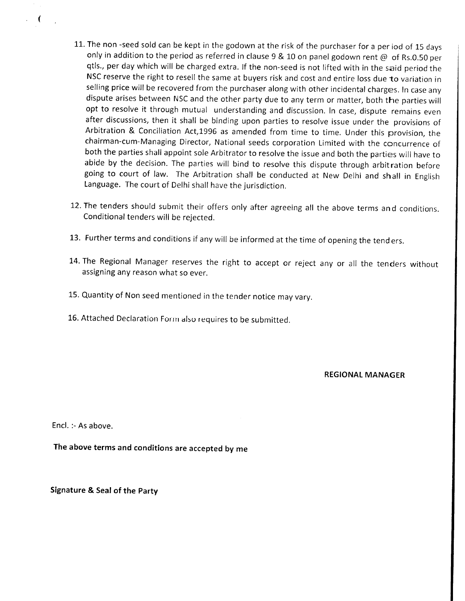- 11. The non -seed sold can be kept in the godown at the risk of the purchaser for a per iod of 15 days only in addition to the period as referred in clause 9 & 10 on panel godown rent  $@$  of Rs.0.50 per qtls., per day which will be charged extra. If the non-seed is not lifted with in the said period the NSC reserve the right to resell the same at buyers risk and cost and entire loss due to variation in selling price will be recovered from the purchaser along with other incidental charges. In case any dispute arises between NSC and the other party due to any term or matter, both the parties will opt to resolve it through mutual understanding and discussion. In case, dispute remains even after discussions, then it shall be binding upon parties to resolve issue under the provisions of Arbitration & Conciliation Act,1996 as amended from time to time. Under this provision, the chairman-cum-Managing Director, National seeds corporation Limited with the concurrence of both the parties shall appoint sole Arbitrator to resolve the issue and both the parties will have to abide by the decision. The parties will bind to resolve this dispute through arbitration before going to court of law. The Arbitration shall be conducted at New Delhi and shall in English Language. The court of Delhi shall have the jurisdiction.
- 12. The tenders should submit their offers only after agreeing all the above terms and conditions. Conditional tenders will be rejected.
- 13. Further terms and conditions if any will be informed at the time of opening the tenders.
- 14. The Regional Manager reserves the right to accept or reject any or all the tenders without assigning any reason what so ever.
- 15. Quantity of Non seed mentioned in the tender notice may vary.
- 16. Attached Declaration Form also requires to be submitted.

REGIONAL MANAGER

Encl. :- As above.

 $\mathbf f$ 

The above terms and conditions are accepted by me

Signature & Seal of the party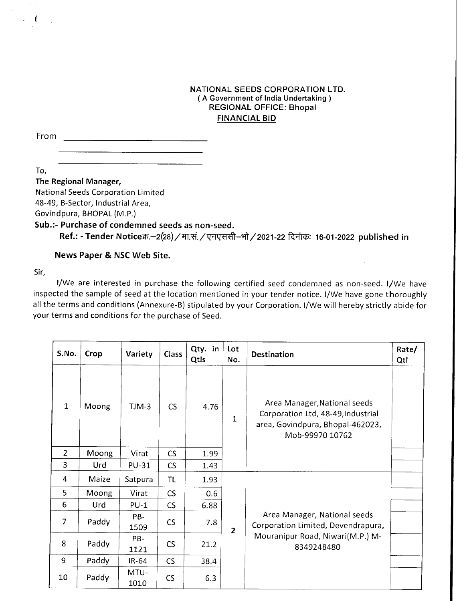### NATIONAL SEEDS CORPORATION LTD. ( A Government of India Undertaking ) REGIONAL OFFICE: Bhopal FINANCIAL BID

From

.(

To,

#### The Regional Manager,

National Seeds Corporation Limited 48-49, B-Sector, lndustrial Area,

Govindpura, BHOPAL (M.P.)

# Sub.:- Purchase of condemned seeds as non-seed.

<u> 1990 - Johann Barbara, martin a</u>

Ref.: - Tender Noticeक्र.-2(28) / मा.सं. / एनएससी-भो / 2021-22 दिनांकः 16-01-2022 published in

News Paper & NSC Web Site.

Sir,

I/We are interested in purchase the following certified seed condemned as non-seed. I/We have inspected the sample of seed at the location mentioned in your tender notice. l/We have gone thoroughly all the terms and conditions (Annexure-B) stipulated by your Corporation. l/We will hereby strictly abide for your terms and conditions for the purchase of Seed.

| S.No.          | Crop  | Variety      | Class     | Qty. in<br>Qtls | Lot<br>No.     | <b>Destination</b>                                                                                                        | Rate/<br>Qtl |
|----------------|-------|--------------|-----------|-----------------|----------------|---------------------------------------------------------------------------------------------------------------------------|--------------|
| $\mathbf{1}$   | Moong | $TJM-3$      | CS        | 4.76            | $\mathbf{1}$   | Area Manager, National seeds<br>Corporation Ltd, 48-49, Industrial<br>area, Govindpura, Bhopal-462023,<br>Mob-99970 10762 |              |
| $\overline{2}$ | Moong | Virat        | CS        | 1.99            |                |                                                                                                                           |              |
| 3              | Urd   | <b>PU-31</b> | CS        | 1.43            |                |                                                                                                                           |              |
| 4              | Maize | Satpura      | TL        | 1.93            |                |                                                                                                                           |              |
| 5              | Moong | Virat        | <b>CS</b> | 0.6             |                | Area Manager, National seeds<br>Corporation Limited, Devendrapura,<br>Mouranipur Road, Niwari(M.P.) M-<br>8349248480      |              |
| 6              | Urd   | $PU-1$       | CS        | 6.88            |                |                                                                                                                           |              |
| $\overline{7}$ | Paddy | PB-<br>1509  | <b>CS</b> | 7.8             | $\overline{2}$ |                                                                                                                           |              |
| 8              | Paddy | PB-<br>1121  | CS        | 21.2            |                |                                                                                                                           |              |
| 9              | Paddy | IR-64        | CS        | 38.4            |                |                                                                                                                           |              |
| 10             | Paddy | MTU-<br>1010 | CS        | 6.3             |                |                                                                                                                           |              |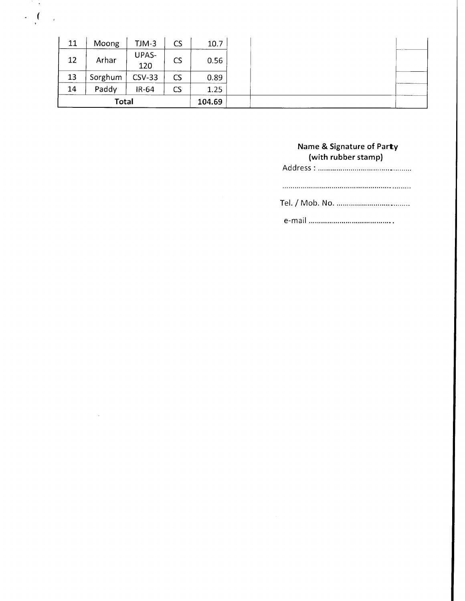| 11    | Moong   | $TJM-3$             | <b>CS</b> | 10.7 |
|-------|---------|---------------------|-----------|------|
| 12    | Arhar   | <b>UPAS-</b><br>120 | <b>CS</b> | 0.56 |
| 13    | Sorghum | $CSV-33$            | CS        | 0.89 |
| 14    | Paddy   | $IR-64$             | CS        | 1.25 |
| Total |         |                     | 104.69    |      |

 $\lambda$  $\mathcal{L}$  $\overline{\mathcal{L}}$ 

 $\overline{1}$ 

 $\sim$   $\sim$ 

#### Name & Signature of Party (with rubber stamp)